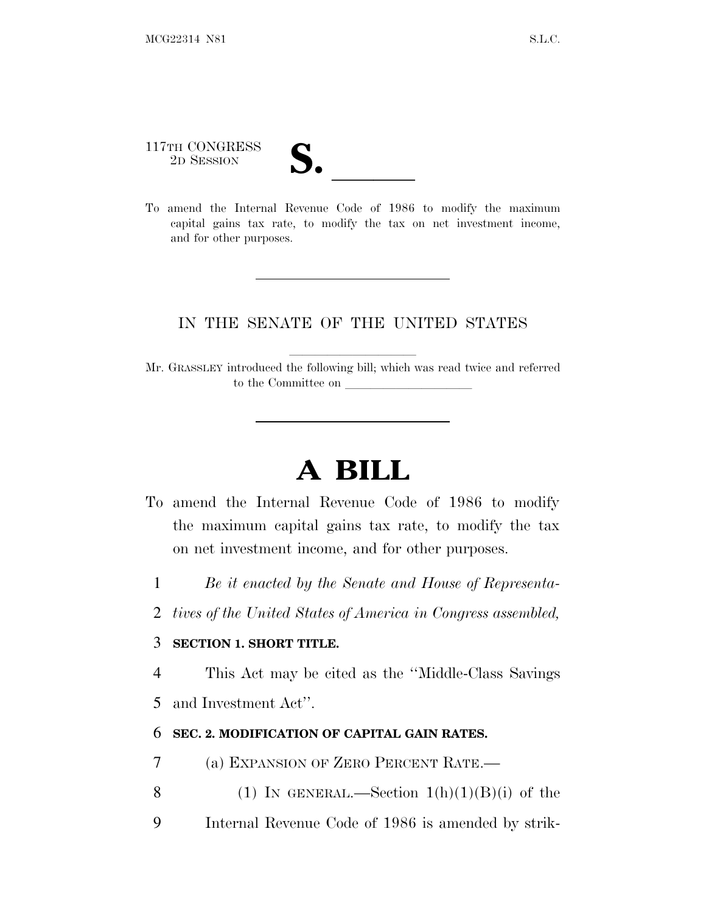# 117TH CONGRESS 117TH CONGRESS<br>
2D SESSION<br>
To amend the Internal Revenue Code of 1986 to modify the maximum

capital gains tax rate, to modify the tax on net investment income, and for other purposes.

#### IN THE SENATE OF THE UNITED STATES

Mr. GRASSLEY introduced the following bill; which was read twice and referred to the Committee on

## **A BILL**

- To amend the Internal Revenue Code of 1986 to modify the maximum capital gains tax rate, to modify the tax on net investment income, and for other purposes.
	- 1 *Be it enacted by the Senate and House of Representa-*
	- 2 *tives of the United States of America in Congress assembled,*

#### 3 **SECTION 1. SHORT TITLE.**

4 This Act may be cited as the ''Middle-Class Savings

5 and Investment Act''.

#### 6 **SEC. 2. MODIFICATION OF CAPITAL GAIN RATES.**

- 7 (a) EXPANSION OF ZERO PERCENT RATE.—
- 8 (1) IN GENERAL.—Section  $1(h)(1)(B)(i)$  of the
- 9 Internal Revenue Code of 1986 is amended by strik-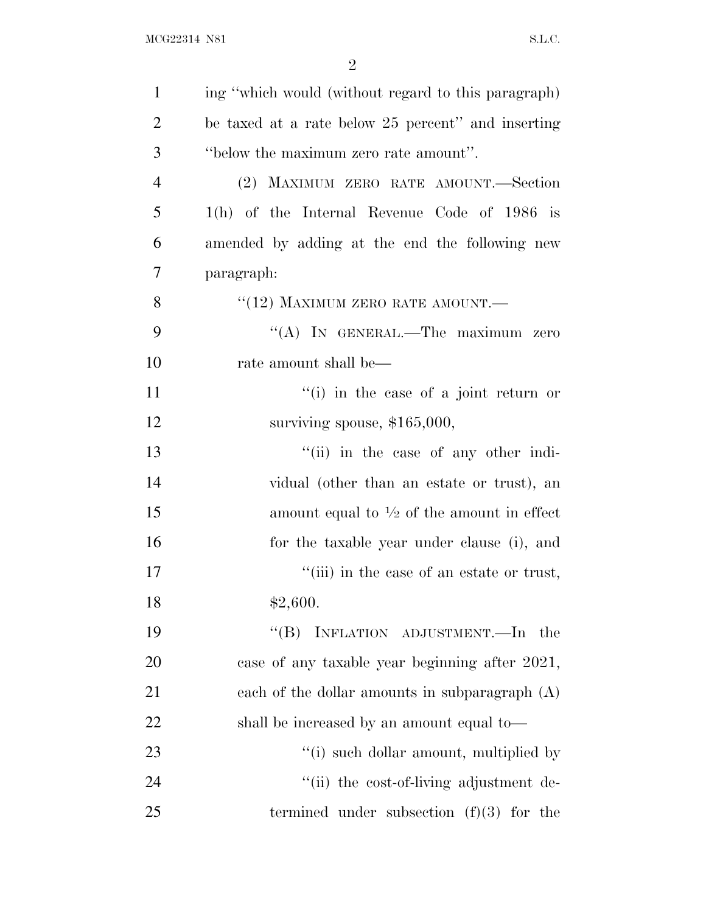| $\mathbf{1}$   | ing "which would (without regard to this paragraph)   |
|----------------|-------------------------------------------------------|
| $\overline{2}$ | be taxed at a rate below 25 percent" and inserting    |
| 3              | "below the maximum zero rate amount".                 |
| $\overline{4}$ | (2) MAXIMUM ZERO RATE AMOUNT.—Section                 |
| 5              | $1(h)$ of the Internal Revenue Code of 1986 is        |
| 6              | amended by adding at the end the following new        |
| 7              | paragraph:                                            |
| 8              | $``(12)$ MAXIMUM ZERO RATE AMOUNT.—                   |
| 9              | "(A) IN GENERAL.—The maximum zero                     |
| 10             | rate amount shall be—                                 |
| 11             | $f'(i)$ in the case of a joint return or              |
| 12             | surviving spouse, $$165,000$ ,                        |
| 13             | "(ii) in the case of any other indi-                  |
| 14             | vidual (other than an estate or trust), an            |
| 15             | amount equal to $\frac{1}{2}$ of the amount in effect |
| 16             | for the taxable year under clause (i), and            |
| 17             | "(iii) in the case of an estate or trust,             |
| 18             | \$2,600.                                              |
| 19             | INFLATION ADJUSTMENT.-In the<br>$\lq\lq (B)$          |
| 20             | case of any taxable year beginning after 2021,        |
| 21             | each of the dollar amounts in subparagraph $(A)$      |
| 22             | shall be increased by an amount equal to—             |
| 23             | "(i) such dollar amount, multiplied by                |
| 24             | "(ii) the cost-of-living adjustment de-               |
| 25             | termined under subsection $(f)(3)$ for the            |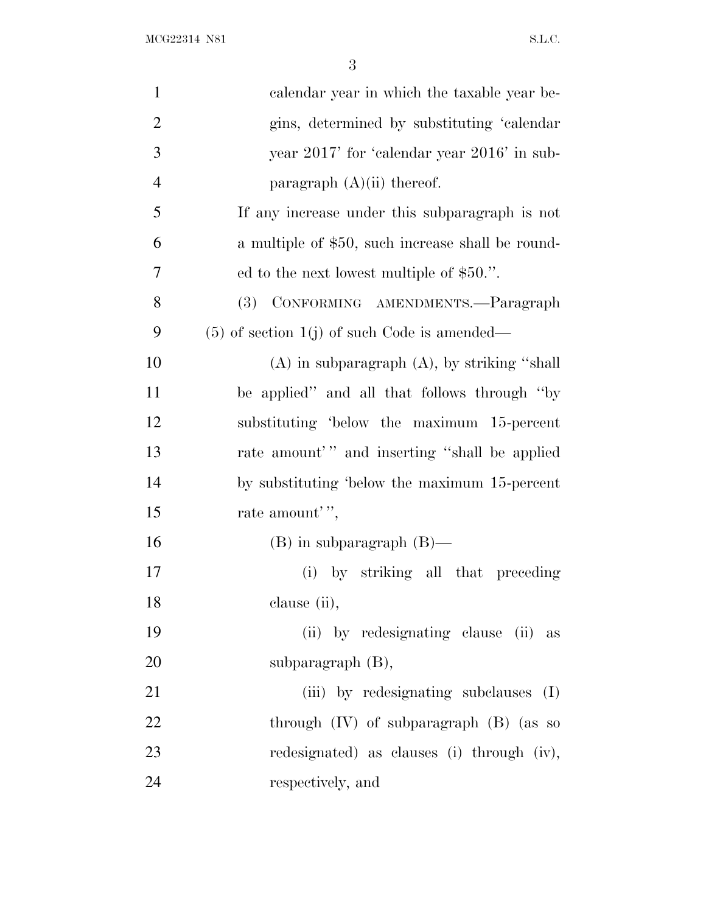| $\mathbf{1}$   | calendar year in which the taxable year be-       |
|----------------|---------------------------------------------------|
| $\overline{2}$ | gins, determined by substituting 'calendar        |
| 3              | year 2017' for 'calendar year 2016' in sub-       |
| $\overline{4}$ | paragraph $(A)(ii)$ thereof.                      |
| 5              | If any increase under this subparagraph is not    |
| 6              | a multiple of \$50, such increase shall be round- |
| 7              | ed to the next lowest multiple of \$50.".         |
| 8              | CONFORMING AMENDMENTS.—Paragraph<br><b>(3)</b>    |
| 9              | $(5)$ of section 1(j) of such Code is amended—    |
| 10             | $(A)$ in subparagraph $(A)$ , by striking "shall" |
| 11             | be applied" and all that follows through "by"     |
| 12             | substituting 'below the maximum 15-percent        |
| 13             | rate amount'" and inserting "shall be applied     |
| 14             | by substituting 'below the maximum 15-percent     |
| 15             | rate amount'",                                    |
| 16             | $(B)$ in subparagraph $(B)$ —                     |
| 17             | (i) by striking all that preceding                |
| 18             | clause (ii),                                      |
| 19             | (ii) by redesignating clause (ii) as              |
| 20             | subparagraph $(B)$ ,                              |
| 21             | (iii) by redesignating subclauses (I)             |
| 22             | through $(IV)$ of subparagraph $(B)$ (as so       |
| 23             | redesignated) as clauses (i) through (iv),        |
| 24             | respectively, and                                 |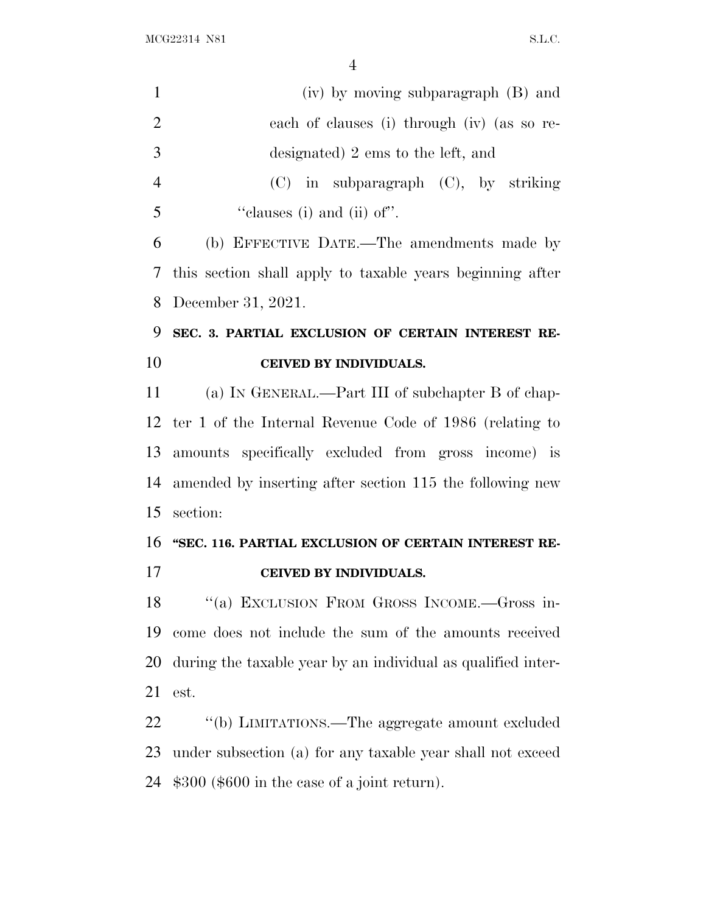| $\mathbf{1}$   | (iv) by moving subparagraph (B) and                          |
|----------------|--------------------------------------------------------------|
| $\overline{2}$ | each of clauses (i) through (iv) (as so re-                  |
| 3              | designated) 2 ems to the left, and                           |
| $\overline{4}$ | $(C)$ in subparagraph $(C)$ , by striking                    |
| 5              | "clauses (i) and (ii) of".                                   |
| 6              | (b) EFFECTIVE DATE.—The amendments made by                   |
| 7              | this section shall apply to taxable years beginning after    |
| 8              | December 31, 2021.                                           |
| 9              | SEC. 3. PARTIAL EXCLUSION OF CERTAIN INTEREST RE-            |
| 10             | CEIVED BY INDIVIDUALS.                                       |
| 11             | (a) IN GENERAL.—Part III of subchapter B of chap-            |
| 12             | ter 1 of the Internal Revenue Code of 1986 (relating to      |
| 13             | amounts specifically excluded from gross income) is          |
| 14             | amended by inserting after section 115 the following new     |
| 15             | section:                                                     |
| 16             | "SEC. 116. PARTIAL EXCLUSION OF CERTAIN INTEREST RE-         |
| 17             | CEIVED BY INDIVIDUALS.                                       |
| 18             | "(a) EXCLUSION FROM GROSS INCOME.-Gross in-                  |
| 19             | come does not include the sum of the amounts received        |
| 20             | during the taxable year by an individual as qualified inter- |
| 21             | est.                                                         |
| 22             | "(b) LIMITATIONS.—The aggregate amount excluded              |
| 23             | under subsection (a) for any taxable year shall not exceed   |
| 24             | $$300$ (\$600 in the case of a joint return).                |
|                |                                                              |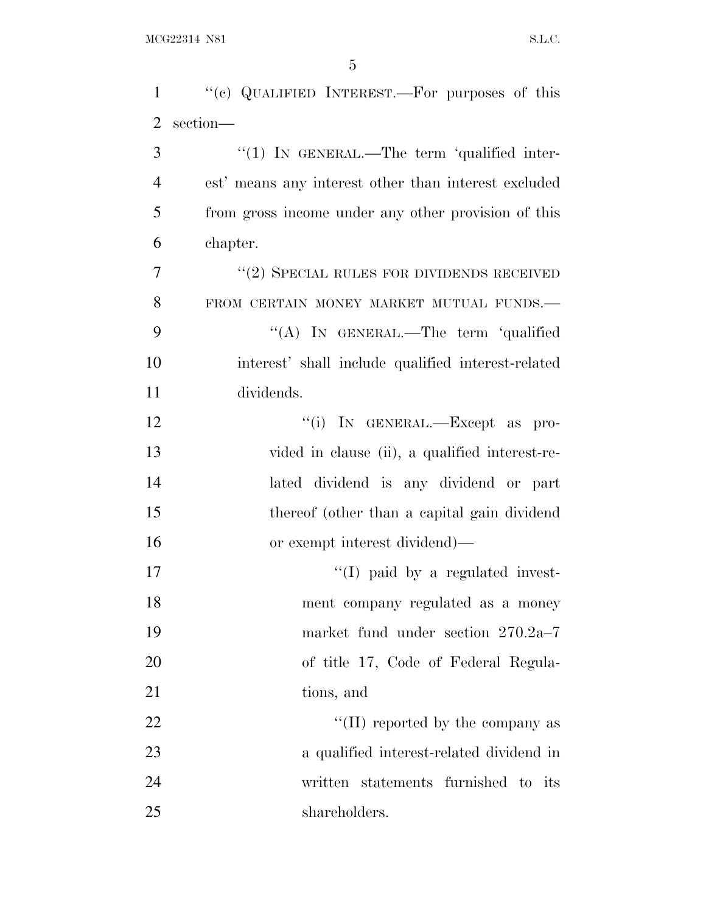| $\mathbf{1}$   | "(c) QUALIFIED INTEREST.—For purposes of this        |
|----------------|------------------------------------------------------|
| $\overline{2}$ | section-                                             |
| 3              | $\lq(1)$ IN GENERAL.—The term 'qualified inter-      |
| $\overline{4}$ | est' means any interest other than interest excluded |
| 5              | from gross income under any other provision of this  |
| 6              | chapter.                                             |
| 7              | $``(2)$ SPECIAL RULES FOR DIVIDENDS RECEIVED         |
| 8              | FROM CERTAIN MONEY MARKET MUTUAL FUNDS.-             |
| 9              | "(A) IN GENERAL.—The term 'qualified                 |
| 10             | interest' shall include qualified interest-related   |
| 11             | dividends.                                           |
| 12             | "(i) IN GENERAL.—Except as pro-                      |
| 13             | vided in clause (ii), a qualified interest-re-       |
| 14             | lated dividend is any dividend or part               |
| 15             | thereof (other than a capital gain dividend          |
| 16             | or exempt interest dividend)—                        |
| 17             | $\lq\lq$ (I) paid by a regulated invest-             |
| 18             | ment company regulated as a money                    |
| 19             | market fund under section 270.2a-7                   |
| 20             | of title 17, Code of Federal Regula-                 |
| 21             | tions, and                                           |
| 22             | "(II) reported by the company as                     |
| 23             | a qualified interest-related dividend in             |
| 24             | written statements furnished to its                  |
| 25             | shareholders.                                        |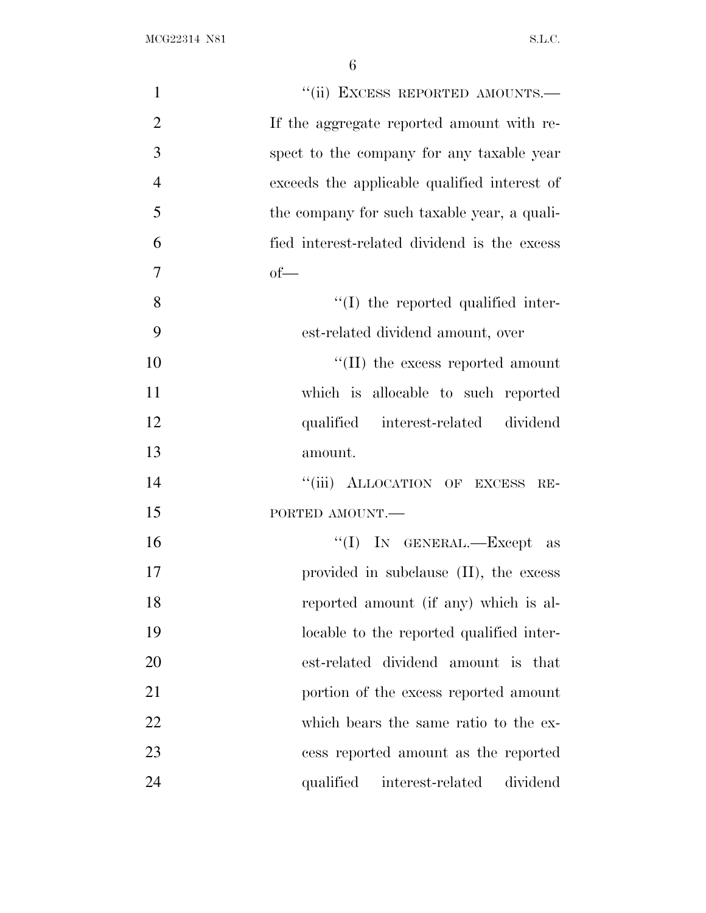| $\mathbf{1}$   | "(ii) EXCESS REPORTED AMOUNTS.-              |
|----------------|----------------------------------------------|
| $\overline{2}$ | If the aggregate reported amount with re-    |
| 3              | spect to the company for any taxable year    |
| $\overline{4}$ | exceeds the applicable qualified interest of |
| 5              | the company for such taxable year, a quali-  |
| 6              | fied interest-related dividend is the excess |
| 7              | $of$ —                                       |
| 8              | $\lq\lq$ the reported qualified inter-       |
| 9              | est-related dividend amount, over            |
| 10             | "(II) the excess reported amount             |
| 11             | which is allocable to such reported          |
| 12             | qualified interest-related dividend          |
| 13             | amount.                                      |
| 14             | "(iii) ALLOCATION OF EXCESS RE-              |
| 15             | PORTED AMOUNT.                               |
| 16             | "(I) IN GENERAL.—Except as                   |
| 17             | provided in subclause (II), the excess       |
| 18             | reported amount (if any) which is al-        |
| 19             | locable to the reported qualified inter-     |
| 20             | est-related dividend amount is that          |
| 21             | portion of the excess reported amount        |
| 22             | which bears the same ratio to the ex-        |
| 23             | cess reported amount as the reported         |
| 24             | qualified interest-related<br>dividend       |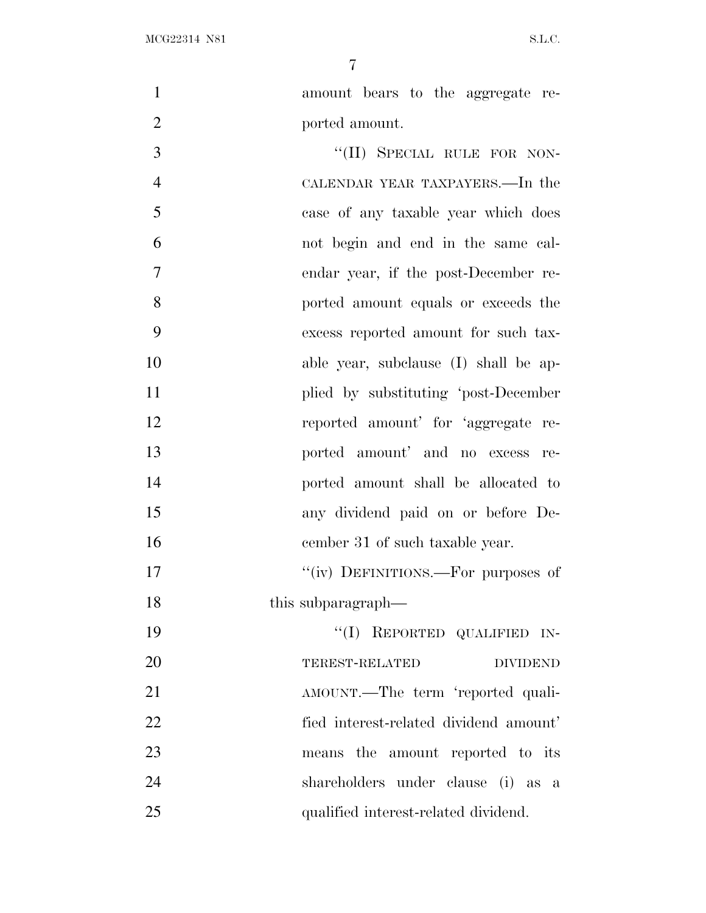- amount bears to the aggregate re- ported amount. 3 "(II) SPECIAL RULE FOR NON-CALENDAR YEAR TAXPAYERS.—In the
- case of any taxable year which does not begin and end in the same cal- endar year, if the post-December re- ported amount equals or exceeds the excess reported amount for such tax- able year, subclause (I) shall be ap-11 plied by substituting 'post-December reported amount' for 'aggregate re- ported amount' and no excess re- ported amount shall be allocated to any dividend paid on or before De-16 cember 31 of such taxable year.

17  $''(iv)$  DEFINITIONS.—For purposes of 18 this subparagraph—

 ''(I) REPORTED QUALIFIED IN- TEREST-RELATED DIVIDEND AMOUNT.—The term 'reported quali- fied interest-related dividend amount' means the amount reported to its shareholders under clause (i) as a qualified interest-related dividend.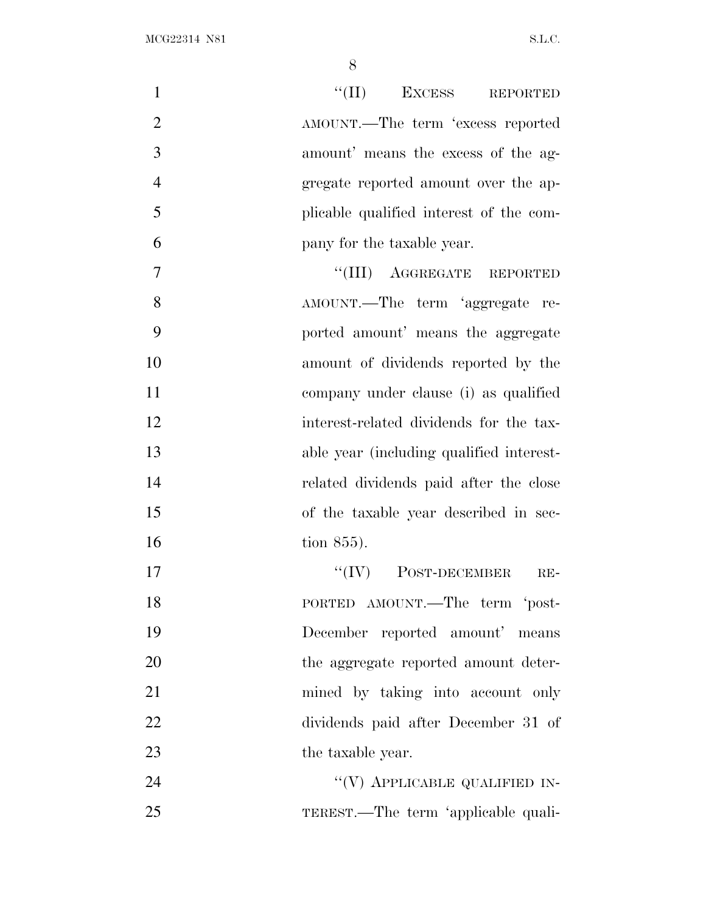| $\mathbf{1}$   | "(II) EXCESS REPORTED                    |
|----------------|------------------------------------------|
| $\overline{2}$ | AMOUNT.—The term 'excess reported        |
| 3              | amount' means the excess of the ag-      |
| $\overline{4}$ | gregate reported amount over the ap-     |
| 5              | plicable qualified interest of the com-  |
| 6              | pany for the taxable year.               |
| 7              | "(III) AGGREGATE REPORTED                |
| 8              | AMOUNT.—The term 'aggregate re-          |
| 9              | ported amount' means the aggregate       |
| 10             | amount of dividends reported by the      |
| 11             | company under clause (i) as qualified    |
| 12             | interest-related dividends for the tax-  |
| 13             | able year (including qualified interest- |
| 14             | related dividends paid after the close   |
| 15             | of the taxable year described in sec-    |
| 16             | tion 855).                               |
| 17             | $``(IV)$ POST-DECEMBER<br>$RE-$          |
| 18             | PORTED AMOUNT.—The term 'post-           |
| 19             | December reported amount' means          |
| 20             | the aggregate reported amount deter-     |
| 21             | mined by taking into account only        |
| 22             | dividends paid after December 31 of      |
| 23             | the taxable year.                        |
| 24             | "(V) APPLICABLE QUALIFIED IN-            |
| 25             | TEREST.—The term 'applicable quali-      |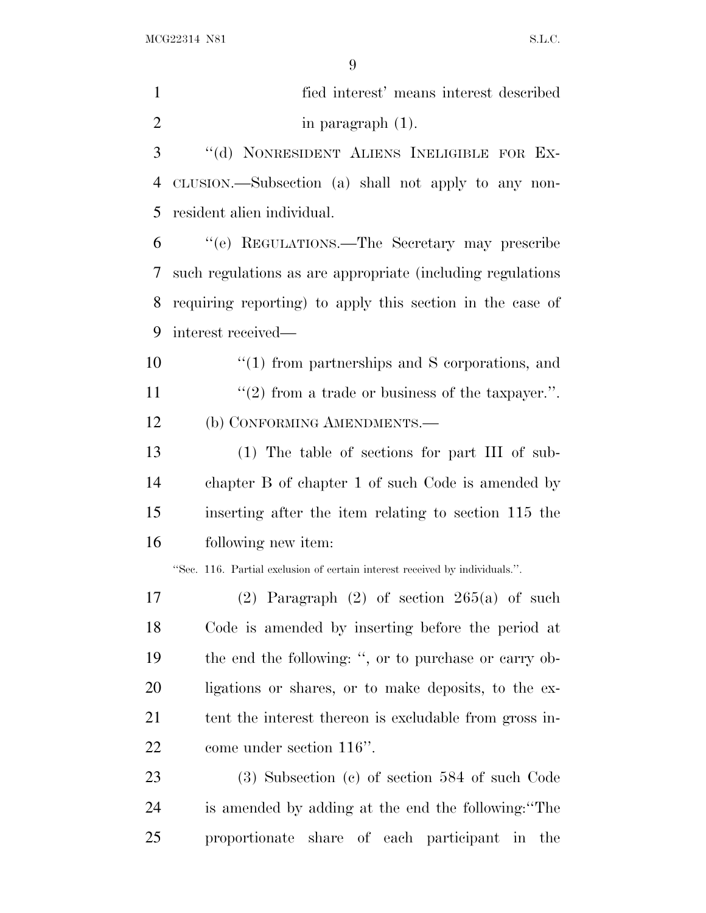fied interest' means interest described 2 in paragraph (1). ''(d) NONRESIDENT ALIENS INELIGIBLE FOR EX- CLUSION.—Subsection (a) shall not apply to any non- resident alien individual. ''(e) REGULATIONS.—The Secretary may prescribe such regulations as are appropriate (including regulations requiring reporting) to apply this section in the case of interest received— ''(1) from partnerships and S corporations, and  $\frac{1}{2}$  from a trade or business of the taxpayer.". (b) CONFORMING AMENDMENTS.— (1) The table of sections for part III of sub- chapter B of chapter 1 of such Code is amended by inserting after the item relating to section 115 the following new item: ''Sec. 116. Partial exclusion of certain interest received by individuals.''. (2) Paragraph (2) of section 265(a) of such Code is amended by inserting before the period at the end the following: '', or to purchase or carry ob- ligations or shares, or to make deposits, to the ex-21 tent the interest thereon is excludable from gross in- come under section 116''. (3) Subsection (c) of section 584 of such Code is amended by adding at the end the following:''The

proportionate share of each participant in the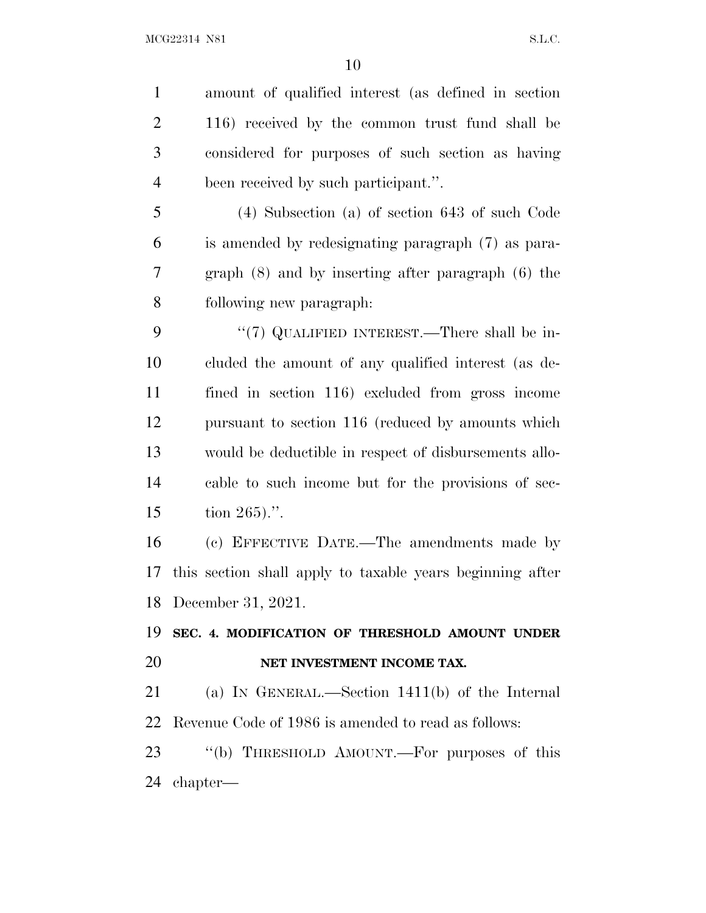amount of qualified interest (as defined in section 116) received by the common trust fund shall be considered for purposes of such section as having been received by such participant.''. (4) Subsection (a) of section 643 of such Code is amended by redesignating paragraph (7) as para- graph (8) and by inserting after paragraph (6) the following new paragraph: 9 "(7) QUALIFIED INTEREST.—There shall be in- cluded the amount of any qualified interest (as de- fined in section 116) excluded from gross income pursuant to section 116 (reduced by amounts which would be deductible in respect of disbursements allo- cable to such income but for the provisions of sec- tion 265).''. (c) EFFECTIVE DATE.—The amendments made by this section shall apply to taxable years beginning after December 31, 2021.

### **SEC. 4. MODIFICATION OF THRESHOLD AMOUNT UNDER NET INVESTMENT INCOME TAX.**

 (a) I<sup>N</sup> GENERAL.—Section 1411(b) of the Internal Revenue Code of 1986 is amended to read as follows:

23 "(b) THRESHOLD AMOUNT.—For purposes of this chapter—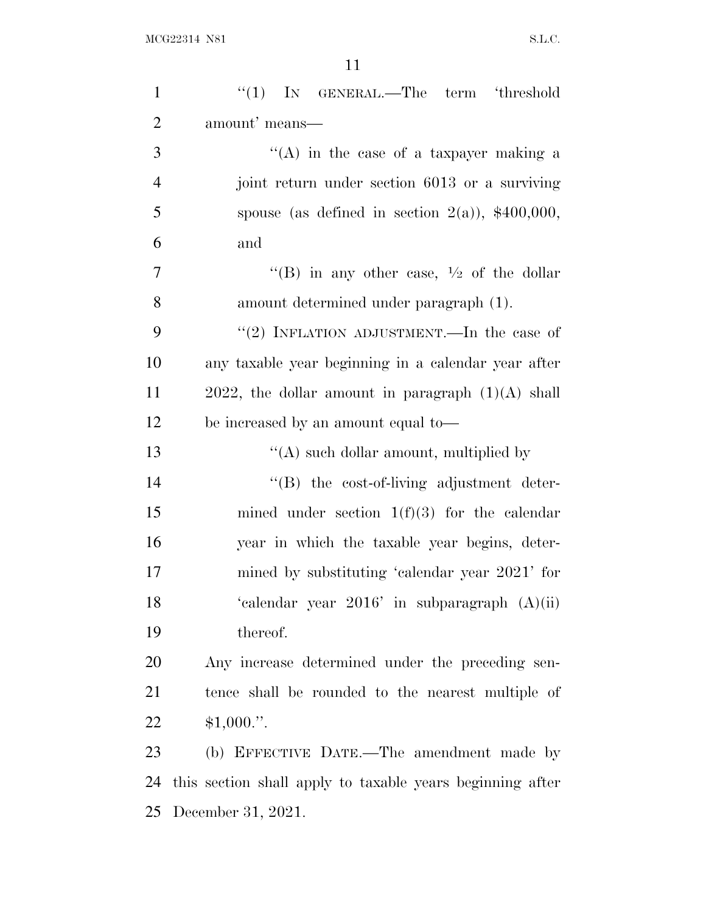| $\mathbf{1}$   | " $(1)$ IN GENERAL.—The term 'threshold                   |
|----------------|-----------------------------------------------------------|
| $\overline{2}$ | amount' means—                                            |
| 3              | $\lq\lq$ in the case of a taxpayer making a               |
| $\overline{4}$ | joint return under section 6013 or a surviving            |
| 5              | spouse (as defined in section $2(a)$ ), \$400,000,        |
| 6              | and                                                       |
| $\overline{7}$ | "(B) in any other case, $\frac{1}{2}$ of the dollar       |
| 8              | amount determined under paragraph (1).                    |
| 9              | "(2) INFLATION ADJUSTMENT.—In the case of                 |
| 10             | any taxable year beginning in a calendar year after       |
| 11             | $2022$ , the dollar amount in paragraph $(1)(A)$ shall    |
| 12             | be increased by an amount equal to-                       |
| 13             | $\lq\lq$ such dollar amount, multiplied by                |
| 14             | "(B) the cost-of-living adjustment deter-                 |
| 15             | mined under section $1(f)(3)$ for the calendar            |
| 16             | year in which the taxable year begins, deter-             |
| 17             | mined by substituting 'calendar year 2021' for            |
| 18             | 'calendar year $2016$ ' in subparagraph $(A)(ii)$         |
| 19             | thereof.                                                  |
| 20             | Any increase determined under the preceding sen-          |
| 21             | tence shall be rounded to the nearest multiple of         |
| 22             | $$1,000."$ .                                              |
| 23             | (b) EFFECTIVE DATE.—The amendment made by                 |
| 24             | this section shall apply to taxable years beginning after |
| 25             | December 31, 2021.                                        |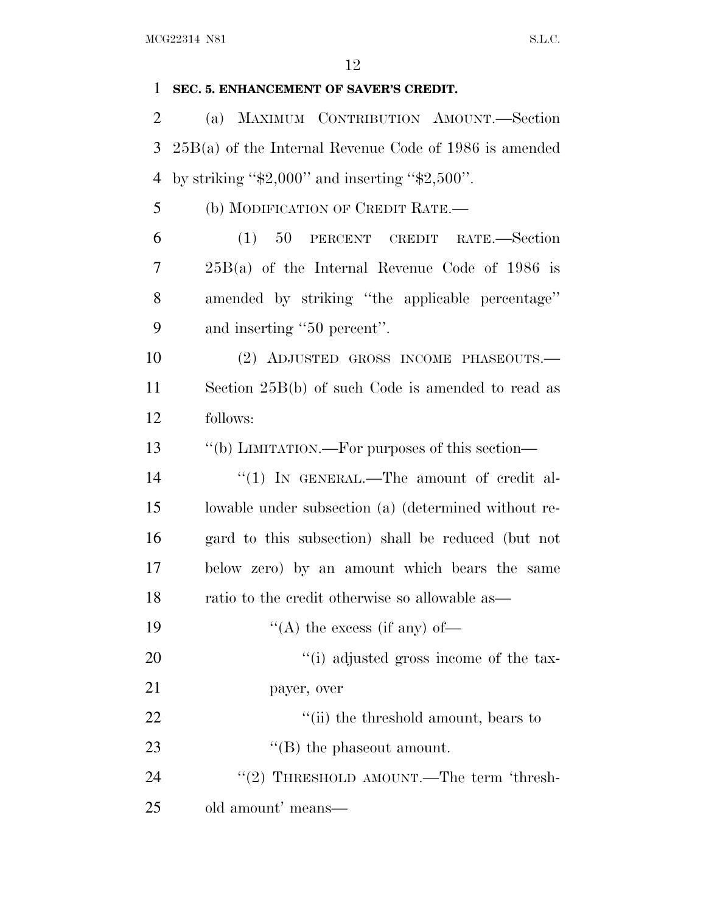#### **SEC. 5. ENHANCEMENT OF SAVER'S CREDIT.**

 (a) MAXIMUM CONTRIBUTION AMOUNT.—Section 25B(a) of the Internal Revenue Code of 1986 is amended 4 by striking " $\$2,000"$  and inserting " $\$2,500"$ .

(b) MODIFICATION OF CREDIT RATE.—

 (1) 50 PERCENT CREDIT RATE.—Section 25B(a) of the Internal Revenue Code of 1986 is amended by striking ''the applicable percentage'' and inserting ''50 percent''.

 (2) ADJUSTED GROSS INCOME PHASEOUTS.— Section 25B(b) of such Code is amended to read as follows:

''(b) LIMITATION.—For purposes of this section—

14 "(1) IN GENERAL.—The amount of credit al- lowable under subsection (a) (determined without re- gard to this subsection) shall be reduced (but not below zero) by an amount which bears the same ratio to the credit otherwise so allowable as—

19  $\langle (A)$  the excess (if any) of —

20  $\frac{1}{20}$  (i) adjusted gross income of the tax-

payer, over

22  $\frac{1}{2}$   $\frac{1}{2}$   $\frac{1}{2}$  the threshold amount, bears to 23 ''(B) the phaseout amount.

24 "(2) THRESHOLD AMOUNT.—The term 'thresh-old amount' means—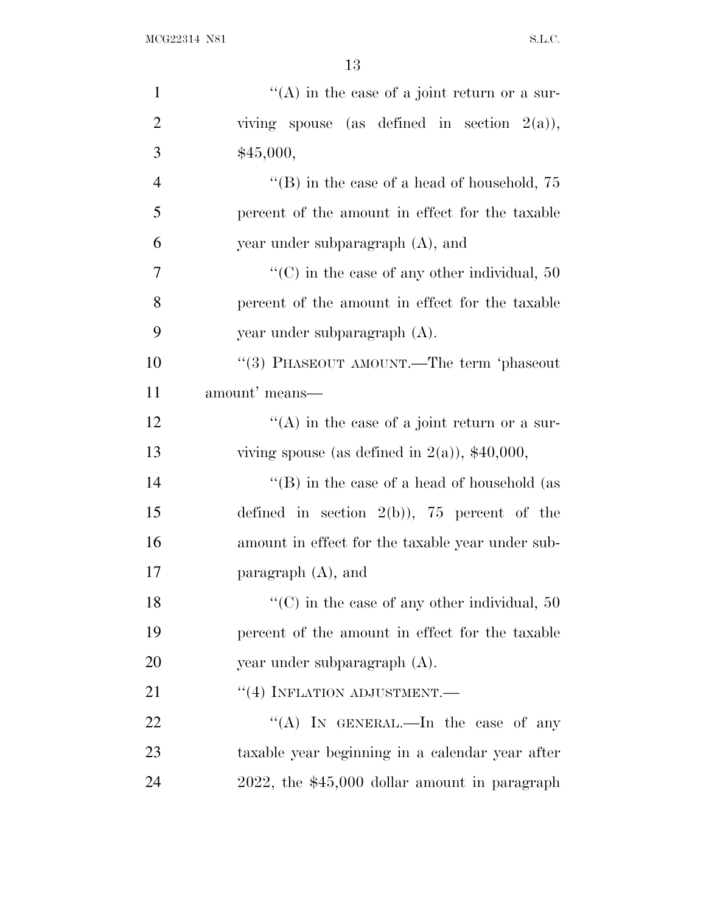| $\mathbf{1}$   | "(A) in the case of a joint return or a sur-         |
|----------------|------------------------------------------------------|
| $\overline{2}$ | viving spouse (as defined in section $2(a)$ ),       |
| 3              | \$45,000,                                            |
| $\overline{4}$ | "(B) in the case of a head of household, $75$        |
| 5              | percent of the amount in effect for the taxable      |
| 6              | year under subparagraph (A), and                     |
| 7              | "(C) in the case of any other individual, $50$       |
| 8              | percent of the amount in effect for the taxable      |
| 9              | year under subparagraph (A).                         |
| 10             | "(3) PHASEOUT AMOUNT.—The term 'phaseout             |
| 11             | amount' means—                                       |
| 12             | $\lq\lq$ in the case of a joint return or a sur-     |
| 13             | viving spouse (as defined in $2(a)$ ), \$40,000,     |
| 14             | "(B) in the case of a head of household (as          |
| 15             | defined in section $2(b)$ ), 75 percent of the       |
| 16             | amount in effect for the taxable year under sub-     |
| 17             | paragraph (A), and                                   |
| 18             | $\lq\lq$ (C) in the case of any other individual, 50 |
| 19             | percent of the amount in effect for the taxable      |
| 20             | year under subparagraph (A).                         |
| 21             | $``(4)$ INFLATION ADJUSTMENT.—                       |
| 22             | "(A) IN GENERAL.—In the case of any                  |
| 23             | taxable year beginning in a calendar year after      |
| 24             | 2022, the \$45,000 dollar amount in paragraph        |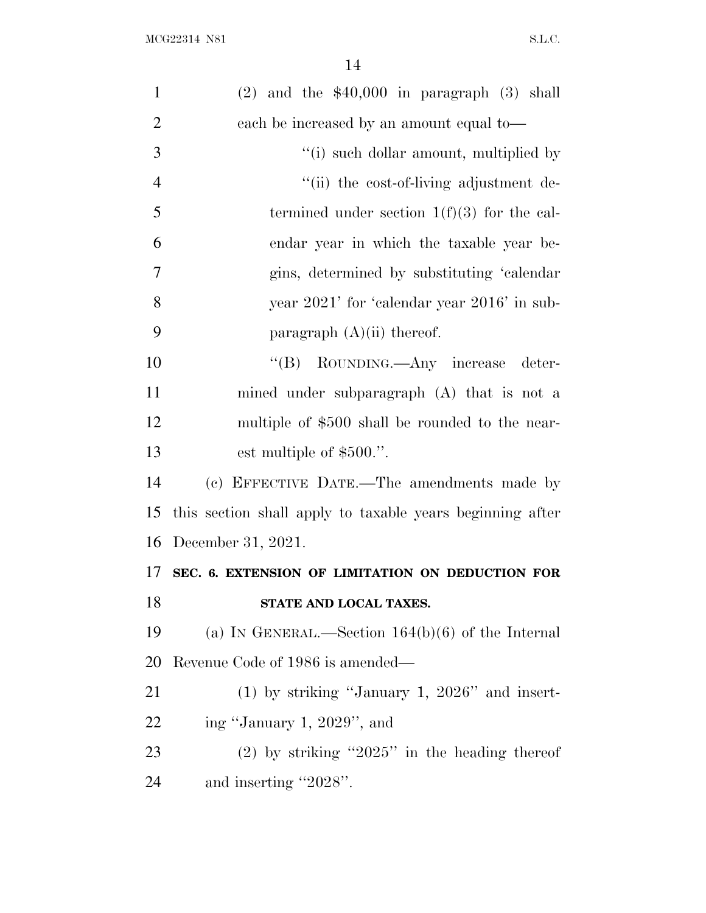| $\mathbf{1}$   | $(2)$ and the \$40,000 in paragraph $(3)$ shall           |
|----------------|-----------------------------------------------------------|
| $\overline{2}$ | each be increased by an amount equal to—                  |
| 3              | "(i) such dollar amount, multiplied by                    |
| $\overline{4}$ | "(ii) the cost-of-living adjustment de-                   |
| 5              | termined under section $1(f)(3)$ for the cal-             |
| 6              | endar year in which the taxable year be-                  |
| 7              | gins, determined by substituting 'calendar                |
| 8              | year 2021' for 'calendar year 2016' in sub-               |
| 9              | paragraph $(A)(ii)$ thereof.                              |
| 10             | "(B) ROUNDING.—Any increase<br>deter-                     |
| 11             | mined under subparagraph (A) that is not a                |
| 12             | multiple of \$500 shall be rounded to the near-           |
| 13             | est multiple of $$500."$ .                                |
| 14             | (c) EFFECTIVE DATE.—The amendments made by                |
| 15             | this section shall apply to taxable years beginning after |
| 16             | December 31, 2021.                                        |
| 17             | SEC. 6. EXTENSION OF LIMITATION ON DEDUCTION FOR          |
| 18             | STATE AND LOCAL TAXES.                                    |
| 19             | (a) IN GENERAL.—Section $164(b)(6)$ of the Internal       |
| 20             | Revenue Code of 1986 is amended—                          |
| 21             | $(1)$ by striking "January 1, 2026" and insert-           |
| 22             | ing "January 1, 2029", and                                |
| 23             | $(2)$ by striking "2025" in the heading thereof           |
| 24             | and inserting "2028".                                     |